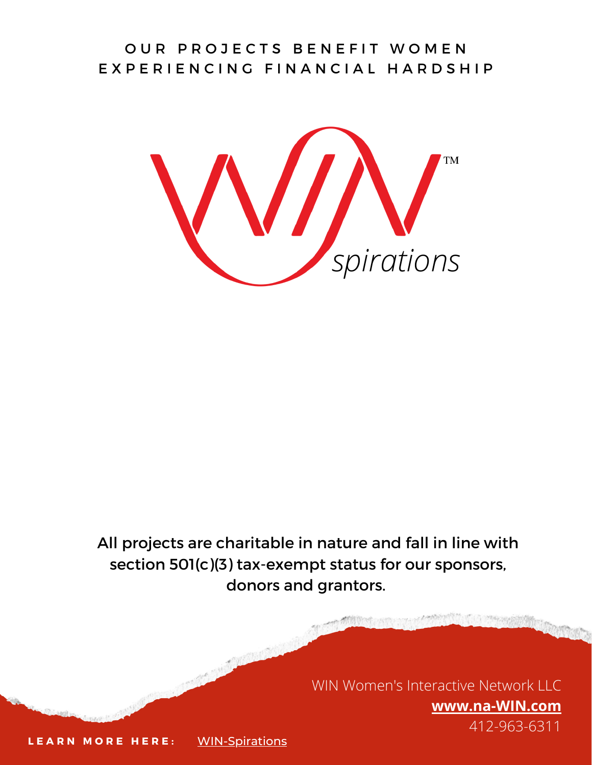#### OUR PROJECTS BENEFIT WOMEN E X P E R I E N C I N G F I N A N C I A L H A R D S H I P

**TM** *spirations*

All projects are charitable in nature and fall in line with section 501(c)(3) tax-exempt status for our sponsors, donors and grantors.

> WIN Women's Interactive Network LLC **[www.na-WIN.com](http://www.na-win.com/)** 412-963-6311

**L E A R N M O R E H E R E :** [WIN-Spirations](https://win.wildapricot.org/WIN-Spirations)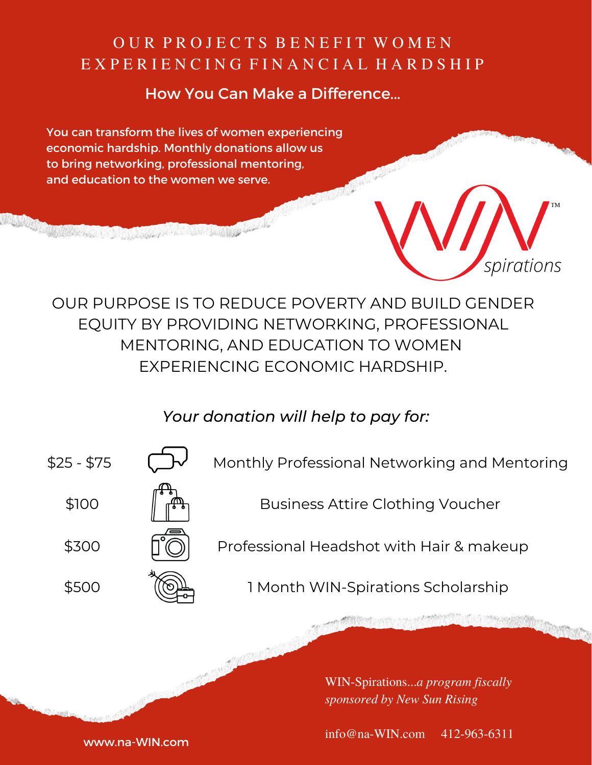## OUR PROJECTS BENEFIT WOMEN E X P E R I E N C I N G F I N A N C I A L H A R D S H I P

#### How You Can Make a Difference...

You can transform the lives of women experiencing economic hardship. Monthly donations allow us to bring networking, professional mentoring, and education to the women we serve.

**A MORTING AND A MORTING AND A MORTING AND A MORTING AND A MORTING AND A MORTING AND A MORTING AND A MORTING A** 



OUR PURPOSE IS TO REDUCE POVERTY AND BUILD GENDER EQUITY BY PROVIDING NETWORKING, PROFESSIONAL MENTORING, AND EDUCATION TO WOMEN EXPERIENCING ECONOMIC HARDSHIP.

### *Your donation will help to pay for:*



\$500

Monthly Professional Networking and Mentoring



Business Attire Clothing Voucher





Professional Headshot with Hair & makeup



1 Month WIN-Spirations Scholarship

WIN-Spirations...*a program fiscally sponsored by New Sun Rising*

info@na-WIN.com 412-963-6311

www.na-WIN.com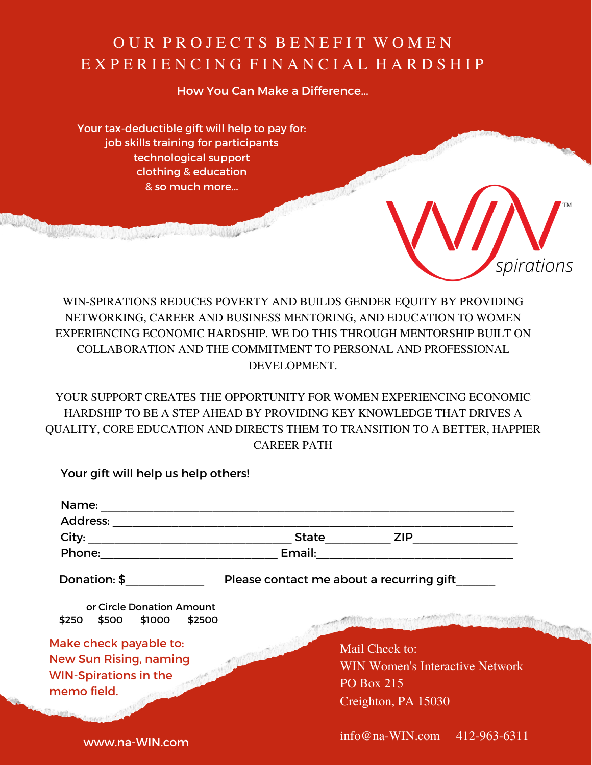## OUR PROJECTS BENEFIT WOMEN E X P E R I E N C I N G F I N A N C I A L H A R D S H I P

How You Can Make a Difference...

Your tax-deductible gift will help to pay for: job skills training for participants technological support clothing & education & so much more...



WIN-SPIRATIONS REDUCES POVERTY AND BUILDS GENDER EQUITY BY PROVIDING NETWORKING, CAREER AND BUSINESS MENTORING, AND EDUCATION TO WOMEN EXPERIENCING ECONOMIC HARDSHIP. WE DO THIS THROUGH MENTORSHIP BUILT ON COLLABORATION AND THE COMMITMENT TO PERSONAL AND PROFESSIONAL DEVELOPMENT.

YOUR SUPPORT CREATES THE OPPORTUNITY FOR WOMEN EXPERIENCING ECONOMIC HARDSHIP TO BE A STEP AHEAD BY PROVIDING KEY KNOWLEDGE THAT DRIVES A QUALITY, CORE EDUCATION AND DIRECTS THEM TO TRANSITION TO A BETTER, HAPPIER CAREER PATH

Your gift will help us help others!

**ANALOG AND AN ARTICLE OF A STATE OF A STATE OF A STATE OF A STATE OF A STATE OF A STATE OF A STATE OF A STATE** 

| Name:                                                                                   |                                          |                                                                        |
|-----------------------------------------------------------------------------------------|------------------------------------------|------------------------------------------------------------------------|
| Address:                                                                                |                                          |                                                                        |
| City:                                                                                   | <b>State</b>                             | <b>ZIP</b>                                                             |
| Phone:                                                                                  | Email:                                   |                                                                        |
| Donation: \$                                                                            | Please contact me about a recurring gift |                                                                        |
| or Circle Donation Amount<br>$$250$ $$500$ $$1000$<br>\$2500                            |                                          |                                                                        |
| Make check payable to:<br><b>New Sun Rising, naming</b><br><b>WIN-Spirations in the</b> |                                          | Mail Check to:<br><b>WIN Women's Interactive Network</b><br>PO Box 215 |
| memo field.                                                                             |                                          | Creighton, PA 15030                                                    |
| www.na-WIN.com                                                                          |                                          | $info@na-WIN.com$ 412-963-6311                                         |